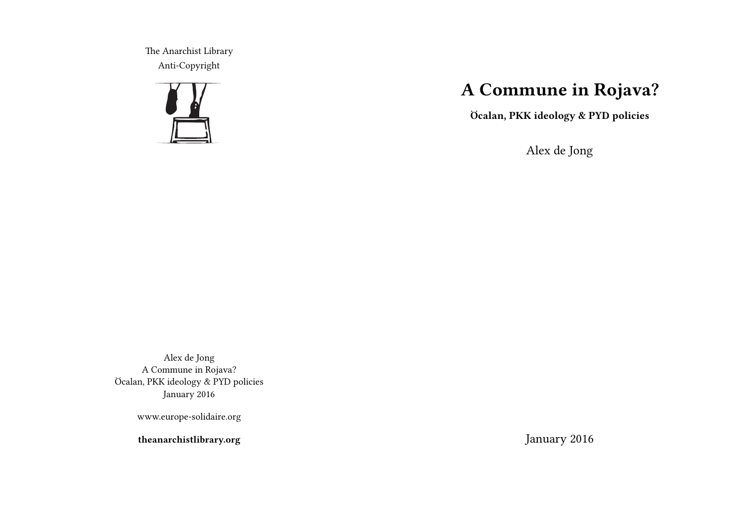The Anarchist Library Anti-Copyright



# **A Commune in Rojava?**

**Öcalan, PKK ideology & PYD policies**

Alex de Jong

Alex de Jong A Commune in Rojava? Öcalan, PKK ideology & PYD policies January 2016

www.europe-solidaire.org

**theanarchistlibrary.org**

January 2016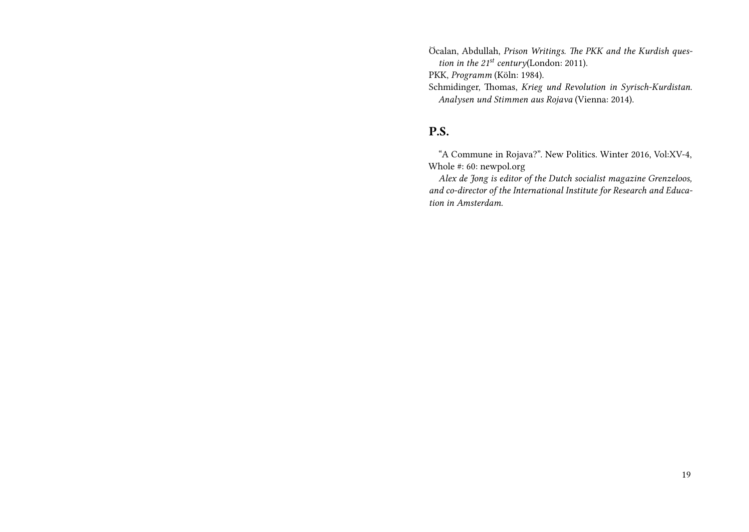Öcalan, Abdullah, *Prison Writings. The PKK and the Kurdish question in the 21st century*(London: 2011).

PKK, *Programm* (Köln: 1984).

Schmidinger, Thomas, *Krieg und Revolution in Syrisch-Kurdistan. Analysen und Stimmen aus Rojava* (Vienna: 2014).

## **P.S.**

"A Commune in Rojava?". New Politics. Winter 2016, Vol:XV-4, Whole #: 60: newpol.org

*Alex de Jong is editor of the Dutch socialist magazine Grenzeloos, and co-director of the International Institute for Research and Education in Amsterdam.*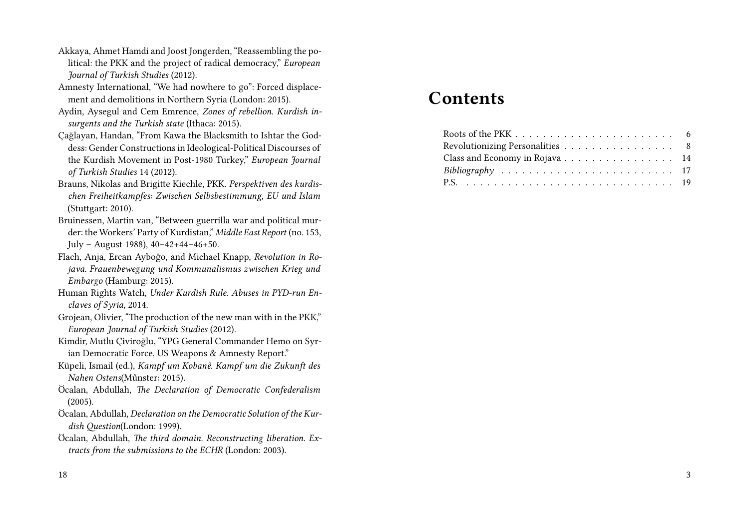- Akkaya, Ahmet Hamdi and Joost Jongerden, "Reassembling the political: the PKK and the project of radical democracy," *European Journal of Turkish Studies* (2012).
- Amnesty International, "We had nowhere to go": Forced displacement and demolitions in Northern Syria (London: 2015).
- Aydin, Aysegul and Cem Emrence, *Zones of rebellion. Kurdish insurgents and the Turkish state* (Ithaca: 2015).
- Çağlayan, Handan, "From Kawa the Blacksmith to Ishtar the Goddess: Gender Constructions in Ideological-Political Discourses of the Kurdish Movement in Post-1980 Turkey," *European Journal of Turkish Studies* 14 (2012).
- Brauns, Nikolas and Brigitte Kiechle, PKK. *Perspektiven des kurdischen Freiheitkampfes: Zwischen Selbsbestimmung, EU und Islam* (Stuttgart: 2010).
- Bruinessen, Martin van, "Between guerrilla war and political murder: the Workers' Party of Kurdistan," *Middle East Report* (no. 153, July – August 1988), 40–42+44–46+50.
- Flach, Anja, Ercan Ayboĝo, and Michael Knapp, *Revolution in Rojava. Frauenbewegung und Kommunalismus zwischen Krieg und Embargo* (Hamburg: 2015).
- Human Rights Watch, *Under Kurdish Rule. Abuses in PYD-run Enclaves of Syria*, 2014.
- Grojean, Olivier, "The production of the new man with in the PKK," *European Journal of Turkish Studies* (2012).
- Kimdir, Mutlu Çiviroğlu, "YPG General Commander Hemo on Syrian Democratic Force, US Weapons & Amnesty Report."
- Küpeli, Ismail (ed.), *Kampf um Kobanê. Kampf um die Zukunft des Nahen Ostens*(Műnster: 2015).
- Öcalan, Abdullah, *The Declaration of Democratic Confederalism* (2005).
- Öcalan, Abdullah, *Declaration on the Democratic Solution of the Kurdish Question*(London: 1999).
- Öcalan, Abdullah, *The third domain. Reconstructing liberation. Extracts from the submissions to the ECHR* (London: 2003).

# **Contents**

| Revolutionizing Personalities 8 |  |
|---------------------------------|--|
| Class and Economy in Rojava 14  |  |
|                                 |  |
|                                 |  |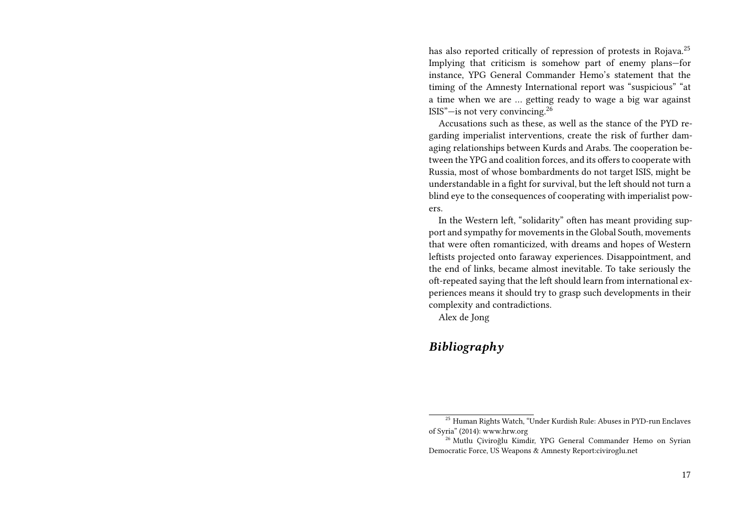has also reported critically of repression of protests in Rojava.<sup>25</sup> Implying that criticism is somehow part of enemy plans—for instance, YPG General Commander Hemo's statement that the timing of the Amnesty International report was "suspicious" "at a time when we are … getting ready to wage a big war against ISIS"—is not very convincing.<sup>26</sup>

Accusations such as these, as well as the stance of the PYD regarding imperialist interventions, create the risk of further damaging relationships between Kurds and Arabs. The cooperation between the YPG and coalition forces, and its offers to cooperate with Russia, most of whose bombardments do not target ISIS, might be understandable in a fight for survival, but the left should not turn a blind eye to the consequences of cooperating with imperialist powers.

In the Western left, "solidarity" often has meant providing support and sympathy for movements in the Global South, movements that were often romanticized, with dreams and hopes of Western leftists projected onto faraway experiences. Disappointment, and the end of links, became almost inevitable. To take seriously the oft-repeated saying that the left should learn from international experiences means it should try to grasp such developments in their complexity and contradictions.

Alex de Jong

### *Bibliography*

<sup>25</sup> Human Rights Watch, "Under Kurdish Rule: Abuses in PYD-run Enclaves of Syria" (2014): www.hrw.org

<sup>26</sup> Mutlu Çiviroğlu Kimdir, YPG General Commander Hemo on Syrian Democratic Force, US Weapons & Amnesty Report:civiroglu.net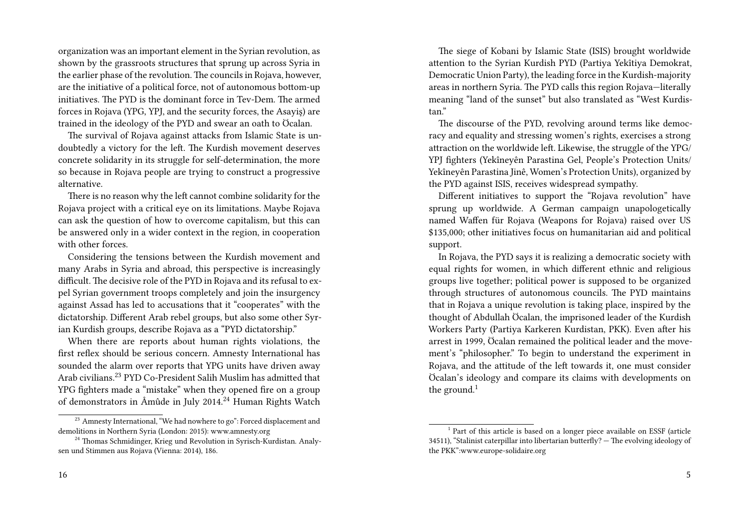organization was an important element in the Syrian revolution, as shown by the grassroots structures that sprung up across Syria in the earlier phase of the revolution. The councils in Rojava, however, are the initiative of a political force, not of autonomous bottom-up initiatives. The PYD is the dominant force in Tev-Dem. The armed forces in Rojava (YPG, YPJ, and the security forces, the Asayiş) are trained in the ideology of the PYD and swear an oath to Öcalan.

The survival of Rojava against attacks from Islamic State is undoubtedly a victory for the left. The Kurdish movement deserves concrete solidarity in its struggle for self-determination, the more so because in Rojava people are trying to construct a progressive alternative.

There is no reason why the left cannot combine solidarity for the Rojava project with a critical eye on its limitations. Maybe Rojava can ask the question of how to overcome capitalism, but this can be answered only in a wider context in the region, in cooperation with other forces.

Considering the tensions between the Kurdish movement and many Arabs in Syria and abroad, this perspective is increasingly difficult. The decisive role of the PYD in Rojava and its refusal to expel Syrian government troops completely and join the insurgency against Assad has led to accusations that it "cooperates" with the dictatorship. Different Arab rebel groups, but also some other Syrian Kurdish groups, describe Rojava as a "PYD dictatorship."

When there are reports about human rights violations, the first reflex should be serious concern. Amnesty International has sounded the alarm over reports that YPG units have driven away Arab civilians.<sup>23</sup> PYD Co-President Salih Muslim has admitted that YPG fighters made a "mistake" when they opened fire on a group of demonstrators in Âmûde in July 2014.<sup>24</sup> Human Rights Watch

The siege of Kobani by Islamic State (ISIS) brought worldwide attention to the Syrian Kurdish PYD (Partiya Yekîtiya Demokrat, Democratic Union Party), the leading force in the Kurdish-majority areas in northern Syria. The PYD calls this region Rojava—literally meaning "land of the sunset" but also translated as "West Kurdistan"

The discourse of the PYD, revolving around terms like democracy and equality and stressing women's rights, exercises a strong attraction on the worldwide left. Likewise, the struggle of the YPG/ YPJ fighters (Yekîneyên Parastina Gel, People's Protection Units/ Yekîneyên Parastina Jinê, Women's Protection Units), organized by the PYD against ISIS, receives widespread sympathy.

Different initiatives to support the "Rojava revolution" have sprung up worldwide. A German campaign unapologetically named Waffen für Rojava (Weapons for Rojava) raised over US \$135,000; other initiatives focus on humanitarian aid and political support.

In Rojava, the PYD says it is realizing a democratic society with equal rights for women, in which different ethnic and religious groups live together; political power is supposed to be organized through structures of autonomous councils. The PYD maintains that in Rojava a unique revolution is taking place, inspired by the thought of Abdullah Öcalan, the imprisoned leader of the Kurdish Workers Party (Partiya Karkeren Kurdistan, PKK). Even after his arrest in 1999, Öcalan remained the political leader and the movement's "philosopher." To begin to understand the experiment in Rojava, and the attitude of the left towards it, one must consider Öcalan's ideology and compare its claims with developments on the ground. $1$ 

<sup>&</sup>lt;sup>23</sup> Amnesty International, "We had nowhere to go": Forced displacement and demolitions in Northern Syria (London: 2015): www.amnesty.org

<sup>&</sup>lt;sup>24</sup> Thomas Schmidinger, Krieg und Revolution in Syrisch-Kurdistan. Analysen und Stimmen aus Rojava (Vienna: 2014), 186.

<sup>&</sup>lt;sup>1</sup> Part of this article is based on a longer piece available on ESSF (article 34511), "Stalinist caterpillar into libertarian butterfly? — The evolving ideology of the PKK":www.europe-solidaire.org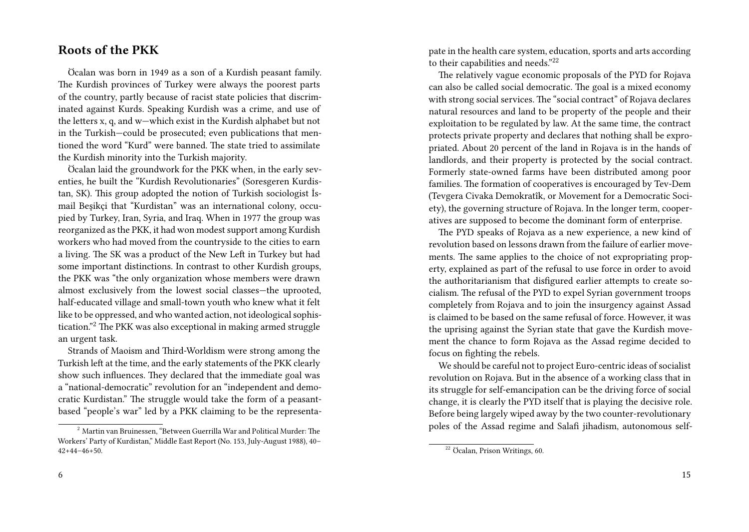### **Roots of the PKK**

Öcalan was born in 1949 as a son of a Kurdish peasant family. The Kurdish provinces of Turkey were always the poorest parts of the country, partly because of racist state policies that discriminated against Kurds. Speaking Kurdish was a crime, and use of the letters x, q, and w—which exist in the Kurdish alphabet but not in the Turkish—could be prosecuted; even publications that mentioned the word "Kurd" were banned. The state tried to assimilate the Kurdish minority into the Turkish majority.

Öcalan laid the groundwork for the PKK when, in the early seventies, he built the "Kurdish Revolutionaries" (Soresgeren Kurdistan, SK). This group adopted the notion of Turkish sociologist İsmail Beşikçi that "Kurdistan" was an international colony, occupied by Turkey, Iran, Syria, and Iraq. When in 1977 the group was reorganized as the PKK, it had won modest support among Kurdish workers who had moved from the countryside to the cities to earn a living. The SK was a product of the New Left in Turkey but had some important distinctions. In contrast to other Kurdish groups, the PKK was "the only organization whose members were drawn almost exclusively from the lowest social classes—the uprooted, half-educated village and small-town youth who knew what it felt like to be oppressed, and who wanted action, not ideological sophistication."<sup>2</sup> The PKK was also exceptional in making armed struggle an urgent task.

Strands of Maoism and Third-Worldism were strong among the Turkish left at the time, and the early statements of the PKK clearly show such influences. They declared that the immediate goal was a "national-democratic" revolution for an "independent and democratic Kurdistan." The struggle would take the form of a peasantbased "people's war" led by a PKK claiming to be the representa-

6

pate in the health care system, education, sports and arts according to their capabilities and needs."<sup>22</sup>

The relatively vague economic proposals of the PYD for Rojava can also be called social democratic. The goal is a mixed economy with strong social services. The "social contract" of Rojava declares natural resources and land to be property of the people and their exploitation to be regulated by law. At the same time, the contract protects private property and declares that nothing shall be expropriated. About 20 percent of the land in Rojava is in the hands of landlords, and their property is protected by the social contract. Formerly state-owned farms have been distributed among poor families. The formation of cooperatives is encouraged by Tev-Dem (Tevgera Civaka Demokratîk, or Movement for a Democratic Society), the governing structure of Rojava. In the longer term, cooperatives are supposed to become the dominant form of enterprise.

The PYD speaks of Rojava as a new experience, a new kind of revolution based on lessons drawn from the failure of earlier movements. The same applies to the choice of not expropriating property, explained as part of the refusal to use force in order to avoid the authoritarianism that disfigured earlier attempts to create socialism. The refusal of the PYD to expel Syrian government troops completely from Rojava and to join the insurgency against Assad is claimed to be based on the same refusal of force. However, it was the uprising against the Syrian state that gave the Kurdish movement the chance to form Rojava as the Assad regime decided to focus on fighting the rebels.

We should be careful not to project Euro-centric ideas of socialist revolution on Rojava. But in the absence of a working class that in its struggle for self-emancipation can be the driving force of social change, it is clearly the PYD itself that is playing the decisive role. Before being largely wiped away by the two counter-revolutionary poles of the Assad regime and Salafi jihadism, autonomous self-

 $2$  Martin van Bruinessen, "Between Guerrilla War and Political Murder: The Workers' Party of Kurdistan," Middle East Report (No. 153, July-August 1988), 40– 42+44–46+50.

<sup>22</sup> Öcalan, Prison Writings, 60.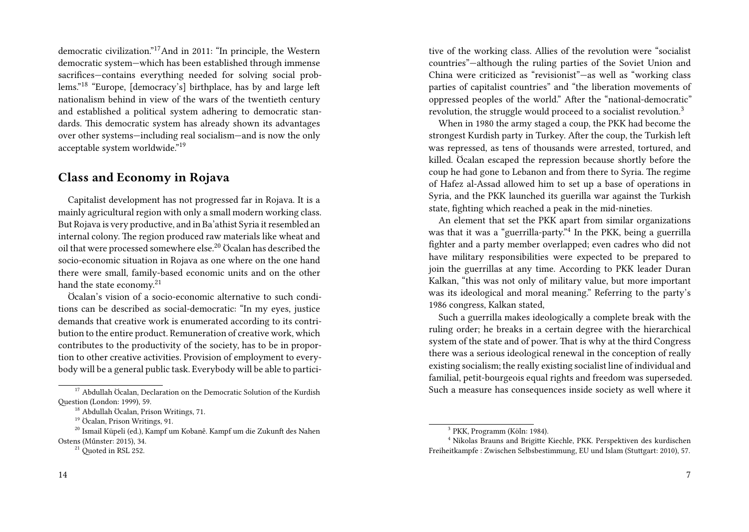democratic civilization."17And in 2011: "In principle, the Western democratic system—which has been established through immense sacrifices—contains everything needed for solving social problems."<sup>18</sup> "Europe, [democracy's] birthplace, has by and large left nationalism behind in view of the wars of the twentieth century and established a political system adhering to democratic standards. This democratic system has already shown its advantages over other systems—including real socialism—and is now the only acceptable system worldwide."<sup>19</sup>

#### **Class and Economy in Rojava**

Capitalist development has not progressed far in Rojava. It is a mainly agricultural region with only a small modern working class. But Rojava is very productive, and in Ba'athist Syria it resembled an internal colony. The region produced raw materials like wheat and oil that were processed somewhere else.<sup>20</sup> Öcalan has described the socio-economic situation in Rojava as one where on the one hand there were small, family-based economic units and on the other hand the state economy.<sup>21</sup>

Öcalan's vision of a socio-economic alternative to such conditions can be described as social-democratic: "In my eyes, justice demands that creative work is enumerated according to its contribution to the entire product. Remuneration of creative work, which contributes to the productivity of the society, has to be in proportion to other creative activities. Provision of employment to everybody will be a general public task. Everybody will be able to partici-

tive of the working class. Allies of the revolution were "socialist countries"—although the ruling parties of the Soviet Union and China were criticized as "revisionist"—as well as "working class parties of capitalist countries" and "the liberation movements of oppressed peoples of the world." After the "national-democratic" revolution, the struggle would proceed to a socialist revolution.<sup>3</sup>

When in 1980 the army staged a coup, the PKK had become the strongest Kurdish party in Turkey. After the coup, the Turkish left was repressed, as tens of thousands were arrested, tortured, and killed. Öcalan escaped the repression because shortly before the coup he had gone to Lebanon and from there to Syria. The regime of Hafez al-Assad allowed him to set up a base of operations in Syria, and the PKK launched its guerilla war against the Turkish state, fighting which reached a peak in the mid-nineties.

An element that set the PKK apart from similar organizations was that it was a "guerrilla-party."<sup>4</sup> In the PKK, being a guerrilla fighter and a party member overlapped; even cadres who did not have military responsibilities were expected to be prepared to join the guerrillas at any time. According to PKK leader Duran Kalkan, "this was not only of military value, but more important was its ideological and moral meaning." Referring to the party's 1986 congress, Kalkan stated,

Such a guerrilla makes ideologically a complete break with the ruling order; he breaks in a certain degree with the hierarchical system of the state and of power. That is why at the third Congress there was a serious ideological renewal in the conception of really existing socialism; the really existing socialist line of individual and familial, petit-bourgeois equal rights and freedom was superseded. Such a measure has consequences inside society as well where it

 $17$  Abdullah Öcalan, Declaration on the Democratic Solution of the Kurdish Question (London: 1999), 59.

<sup>18</sup> Abdullah Öcalan, Prison Writings, 71.

<sup>19</sup> Öcalan, Prison Writings, 91.

<sup>20</sup> Ismail Küpeli (ed.), Kampf um Kobanê. Kampf um die Zukunft des Nahen Ostens (Műnster: 2015), 34.

<sup>&</sup>lt;sup>21</sup> Ouoted in RSL 252.

<sup>3</sup> PKK, Programm (Köln: 1984).

<sup>4</sup> Nikolas Brauns and Brigitte Kiechle, PKK. Perspektiven des kurdischen Freiheitkampfe : Zwischen Selbsbestimmung, EU und Islam (Stuttgart: 2010), 57.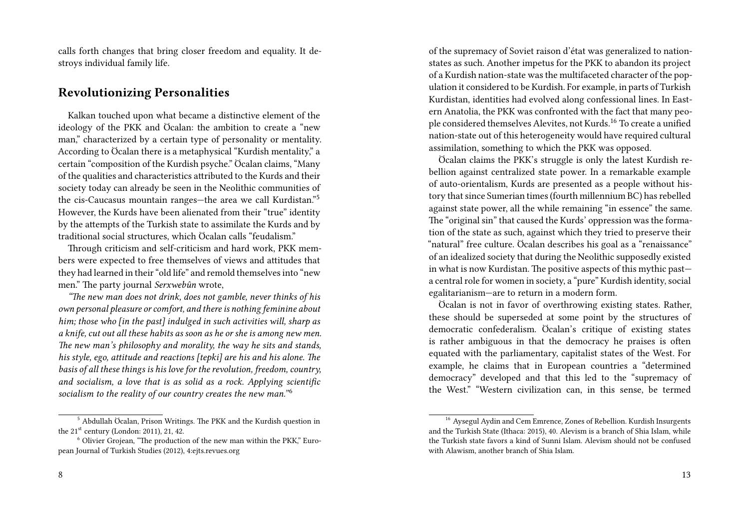calls forth changes that bring closer freedom and equality. It destroys individual family life.

#### **Revolutionizing Personalities**

Kalkan touched upon what became a distinctive element of the ideology of the PKK and Öcalan: the ambition to create a "new man," characterized by a certain type of personality or mentality. According to Öcalan there is a metaphysical "Kurdish mentality," a certain "composition of the Kurdish psyche." Öcalan claims, "Many of the qualities and characteristics attributed to the Kurds and their society today can already be seen in the Neolithic communities of the cis-Caucasus mountain ranges—the area we call Kurdistan."<sup>5</sup> However, the Kurds have been alienated from their "true" identity by the attempts of the Turkish state to assimilate the Kurds and by traditional social structures, which Öcalan calls "feudalism."

Through criticism and self-criticism and hard work, PKK members were expected to free themselves of views and attitudes that they had learned in their "old life" and remold themselves into "new men." The party journal *Serxwebûn* wrote,

*"The new man does not drink, does not gamble, never thinks of his own personal pleasure or comfort, and there is nothing feminine about him; those who [in the past] indulged in such activities will, sharp as a knife, cut out all these habits as soon as he or she is among new men. The new man's philosophy and morality, the way he sits and stands, his style, ego, attitude and reactions [tepki] are his and his alone. The basis of all these things is his love for the revolution, freedom, country, and socialism, a love that is as solid as a rock. Applying scientific* socialism to the reality of our country creates the new man."<sup>6</sup>

of the supremacy of Soviet raison d'état was generalized to nationstates as such. Another impetus for the PKK to abandon its project of a Kurdish nation-state was the multifaceted character of the population it considered to be Kurdish. For example, in parts of Turkish Kurdistan, identities had evolved along confessional lines. In Eastern Anatolia, the PKK was confronted with the fact that many people considered themselves Alevites, not Kurds.<sup>16</sup> To create a unified nation-state out of this heterogeneity would have required cultural assimilation, something to which the PKK was opposed.

Öcalan claims the PKK's struggle is only the latest Kurdish rebellion against centralized state power. In a remarkable example of auto-orientalism, Kurds are presented as a people without history that since Sumerian times (fourth millennium BC) has rebelled against state power, all the while remaining "in essence" the same. The "original sin" that caused the Kurds' oppression was the formation of the state as such, against which they tried to preserve their "natural" free culture. Öcalan describes his goal as a "renaissance" of an idealized society that during the Neolithic supposedly existed in what is now Kurdistan. The positive aspects of this mythic past a central role for women in society, a "pure" Kurdish identity, social egalitarianism—are to return in a modern form.

Öcalan is not in favor of overthrowing existing states. Rather, these should be superseded at some point by the structures of democratic confederalism. Öcalan's critique of existing states is rather ambiguous in that the democracy he praises is often equated with the parliamentary, capitalist states of the West. For example, he claims that in European countries a "determined democracy" developed and that this led to the "supremacy of the West." "Western civilization can, in this sense, be termed

<sup>5</sup> Abdullah Öcalan, Prison Writings. The PKK and the Kurdish question in the  $21<sup>st</sup>$  century (London: 2011), 21, 42.

<sup>6</sup> Olivier Grojean, "The production of the new man within the PKK," European Journal of Turkish Studies (2012), 4:ejts.revues.org

<sup>16</sup> Aysegul Aydin and Cem Emrence, Zones of Rebellion. Kurdish Insurgents and the Turkish State (Ithaca: 2015), 40. Alevism is a branch of Shia Islam, while the Turkish state favors a kind of Sunni Islam. Alevism should not be confused with Alawism, another branch of Shia Islam.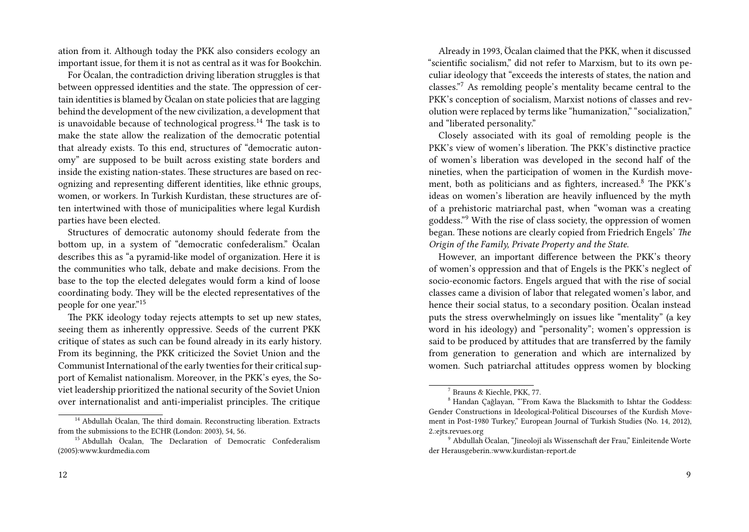ation from it. Although today the PKK also considers ecology an important issue, for them it is not as central as it was for Bookchin.

For Öcalan, the contradiction driving liberation struggles is that between oppressed identities and the state. The oppression of certain identities is blamed by Öcalan on state policies that are lagging behind the development of the new civilization, a development that is unavoidable because of technological progress.<sup>14</sup> The task is to make the state allow the realization of the democratic potential that already exists. To this end, structures of "democratic autonomy" are supposed to be built across existing state borders and inside the existing nation-states. These structures are based on recognizing and representing different identities, like ethnic groups, women, or workers. In Turkish Kurdistan, these structures are often intertwined with those of municipalities where legal Kurdish parties have been elected.

Structures of democratic autonomy should federate from the bottom up, in a system of "democratic confederalism." Öcalan describes this as "a pyramid-like model of organization. Here it is the communities who talk, debate and make decisions. From the base to the top the elected delegates would form a kind of loose coordinating body. They will be the elected representatives of the people for one year."<sup>15</sup>

The PKK ideology today rejects attempts to set up new states, seeing them as inherently oppressive. Seeds of the current PKK critique of states as such can be found already in its early history. From its beginning, the PKK criticized the Soviet Union and the Communist International of the early twenties for their critical support of Kemalist nationalism. Moreover, in the PKK's eyes, the Soviet leadership prioritized the national security of the Soviet Union over internationalist and anti-imperialist principles. The critique

Already in 1993, Öcalan claimed that the PKK, when it discussed "scientific socialism," did not refer to Marxism, but to its own peculiar ideology that "exceeds the interests of states, the nation and classes."<sup>7</sup> As remolding people's mentality became central to the PKK's conception of socialism, Marxist notions of classes and revolution were replaced by terms like "humanization," "socialization," and "liberated personality."

Closely associated with its goal of remolding people is the PKK's view of women's liberation. The PKK's distinctive practice of women's liberation was developed in the second half of the nineties, when the participation of women in the Kurdish movement, both as politicians and as fighters, increased.<sup>8</sup> The PKK's ideas on women's liberation are heavily influenced by the myth of a prehistoric matriarchal past, when "woman was a creating goddess."<sup>9</sup> With the rise of class society, the oppression of women began. These notions are clearly copied from Friedrich Engels' *The Origin of the Family, Private Property and the State*.

However, an important difference between the PKK's theory of women's oppression and that of Engels is the PKK's neglect of socio-economic factors. Engels argued that with the rise of social classes came a division of labor that relegated women's labor, and hence their social status, to a secondary position. Öcalan instead puts the stress overwhelmingly on issues like "mentality" (a key word in his ideology) and "personality"; women's oppression is said to be produced by attitudes that are transferred by the family from generation to generation and which are internalized by women. Such patriarchal attitudes oppress women by blocking

<sup>&</sup>lt;sup>14</sup> Abdullah Öcalan, The third domain. Reconstructing liberation. Extracts from the submissions to the ECHR (London: 2003), 54, 56.

<sup>&</sup>lt;sup>15</sup> Abdullah Öcalan, The Declaration of Democratic Confederalism (2005):www.kurdmedia.com

<sup>7</sup> Brauns & Kiechle, PKK, 77.

<sup>8</sup> Handan Çağlayan, "'From Kawa the Blacksmith to Ishtar the Goddess: Gender Constructions in Ideological-Political Discourses of the Kurdish Movement in Post-1980 Turkey," European Journal of Turkish Studies (No. 14, 2012), 2.:ejts.revues.org

<sup>9</sup> Abdullah Öcalan, "Jineolojî als Wissenschaft der Frau," Einleitende Worte der Herausgeberin.:www.kurdistan-report.de